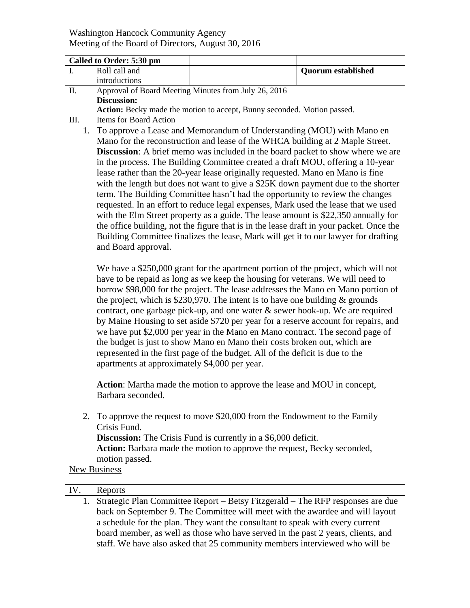## Washington Hancock Community Agency Meeting of the Board of Directors, August 30, 2016

| Called to Order: 5:30 pm |                                                                                      |                                                                                               |                                                                                |                           |  |  |
|--------------------------|--------------------------------------------------------------------------------------|-----------------------------------------------------------------------------------------------|--------------------------------------------------------------------------------|---------------------------|--|--|
| I.                       |                                                                                      | Roll call and                                                                                 |                                                                                | <b>Quorum established</b> |  |  |
|                          |                                                                                      | introductions                                                                                 |                                                                                |                           |  |  |
| Π.                       |                                                                                      | Approval of Board Meeting Minutes from July 26, 2016                                          |                                                                                |                           |  |  |
|                          |                                                                                      | <b>Discussion:</b><br>Action: Becky made the motion to accept, Bunny seconded. Motion passed. |                                                                                |                           |  |  |
| III.                     |                                                                                      | Items for Board Action                                                                        |                                                                                |                           |  |  |
|                          |                                                                                      | 1. To approve a Lease and Memorandum of Understanding (MOU) with Mano en                      |                                                                                |                           |  |  |
|                          |                                                                                      | Mano for the reconstruction and lease of the WHCA building at 2 Maple Street.                 |                                                                                |                           |  |  |
|                          |                                                                                      | <b>Discussion:</b> A brief memo was included in the board packet to show where we are         |                                                                                |                           |  |  |
|                          |                                                                                      | in the process. The Building Committee created a draft MOU, offering a 10-year                |                                                                                |                           |  |  |
|                          |                                                                                      |                                                                                               | lease rather than the 20-year lease originally requested. Mano en Mano is fine |                           |  |  |
|                          |                                                                                      | with the length but does not want to give a \$25K down payment due to the shorter             |                                                                                |                           |  |  |
|                          |                                                                                      | term. The Building Committee hasn't had the opportunity to review the changes                 |                                                                                |                           |  |  |
|                          |                                                                                      | requested. In an effort to reduce legal expenses, Mark used the lease that we used            |                                                                                |                           |  |  |
|                          |                                                                                      | with the Elm Street property as a guide. The lease amount is \$22,350 annually for            |                                                                                |                           |  |  |
|                          |                                                                                      | the office building, not the figure that is in the lease draft in your packet. Once the       |                                                                                |                           |  |  |
|                          |                                                                                      | Building Committee finalizes the lease, Mark will get it to our lawyer for drafting           |                                                                                |                           |  |  |
|                          |                                                                                      | and Board approval.                                                                           |                                                                                |                           |  |  |
|                          |                                                                                      |                                                                                               |                                                                                |                           |  |  |
|                          |                                                                                      | We have a \$250,000 grant for the apartment portion of the project, which will not            |                                                                                |                           |  |  |
|                          |                                                                                      | have to be repaid as long as we keep the housing for veterans. We will need to                |                                                                                |                           |  |  |
|                          |                                                                                      | borrow \$98,000 for the project. The lease addresses the Mano en Mano portion of              |                                                                                |                           |  |  |
|                          |                                                                                      | the project, which is \$230,970. The intent is to have one building $\&$ grounds              |                                                                                |                           |  |  |
|                          |                                                                                      | contract, one garbage pick-up, and one water & sewer hook-up. We are required                 |                                                                                |                           |  |  |
|                          |                                                                                      | by Maine Housing to set aside \$720 per year for a reserve account for repairs, and           |                                                                                |                           |  |  |
|                          |                                                                                      | we have put \$2,000 per year in the Mano en Mano contract. The second page of                 |                                                                                |                           |  |  |
|                          |                                                                                      | the budget is just to show Mano en Mano their costs broken out, which are                     |                                                                                |                           |  |  |
|                          |                                                                                      | represented in the first page of the budget. All of the deficit is due to the                 |                                                                                |                           |  |  |
|                          |                                                                                      | apartments at approximately \$4,000 per year.                                                 |                                                                                |                           |  |  |
|                          |                                                                                      | Action: Martha made the motion to approve the lease and MOU in concept,                       |                                                                                |                           |  |  |
|                          |                                                                                      | Barbara seconded.                                                                             |                                                                                |                           |  |  |
|                          |                                                                                      |                                                                                               |                                                                                |                           |  |  |
|                          |                                                                                      |                                                                                               | 2. To approve the request to move \$20,000 from the Endowment to the Family    |                           |  |  |
|                          |                                                                                      | Crisis Fund.                                                                                  |                                                                                |                           |  |  |
|                          |                                                                                      |                                                                                               | <b>Discussion:</b> The Crisis Fund is currently in a \$6,000 deficit.          |                           |  |  |
|                          |                                                                                      |                                                                                               | Action: Barbara made the motion to approve the request, Becky seconded,        |                           |  |  |
|                          |                                                                                      | motion passed.                                                                                |                                                                                |                           |  |  |
| New Business             |                                                                                      |                                                                                               |                                                                                |                           |  |  |
|                          |                                                                                      |                                                                                               |                                                                                |                           |  |  |
| IV.                      |                                                                                      | Reports                                                                                       |                                                                                |                           |  |  |
|                          | Strategic Plan Committee Report – Betsy Fitzgerald – The RFP responses are due<br>1. |                                                                                               |                                                                                |                           |  |  |
|                          |                                                                                      | back on September 9. The Committee will meet with the awardee and will layout                 |                                                                                |                           |  |  |
|                          | a schedule for the plan. They want the consultant to speak with every current        |                                                                                               |                                                                                |                           |  |  |

board member, as well as those who have served in the past 2 years, clients, and staff. We have also asked that 25 community members interviewed who will be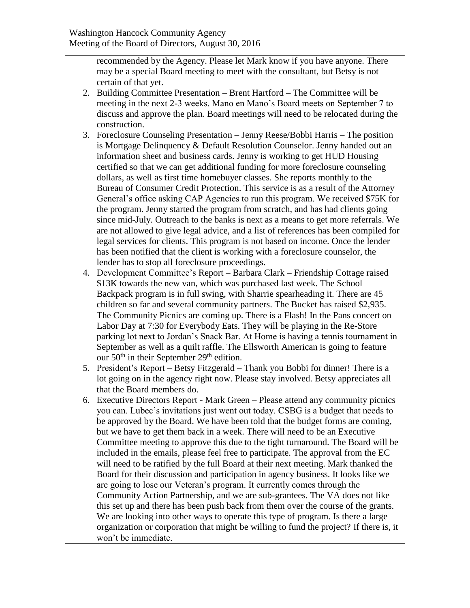recommended by the Agency. Please let Mark know if you have anyone. There may be a special Board meeting to meet with the consultant, but Betsy is not certain of that yet.

- 2. Building Committee Presentation Brent Hartford The Committee will be meeting in the next 2-3 weeks. Mano en Mano's Board meets on September 7 to discuss and approve the plan. Board meetings will need to be relocated during the construction.
- 3. Foreclosure Counseling Presentation Jenny Reese/Bobbi Harris The position is Mortgage Delinquency & Default Resolution Counselor. Jenny handed out an information sheet and business cards. Jenny is working to get HUD Housing certified so that we can get additional funding for more foreclosure counseling dollars, as well as first time homebuyer classes. She reports monthly to the Bureau of Consumer Credit Protection. This service is as a result of the Attorney General's office asking CAP Agencies to run this program. We received \$75K for the program. Jenny started the program from scratch, and has had clients going since mid-July. Outreach to the banks is next as a means to get more referrals. We are not allowed to give legal advice, and a list of references has been compiled for legal services for clients. This program is not based on income. Once the lender has been notified that the client is working with a foreclosure counselor, the lender has to stop all foreclosure proceedings.
- 4. Development Committee's Report Barbara Clark Friendship Cottage raised \$13K towards the new van, which was purchased last week. The School Backpack program is in full swing, with Sharrie spearheading it. There are 45 children so far and several community partners. The Bucket has raised \$2,935. The Community Picnics are coming up. There is a Flash! In the Pans concert on Labor Day at 7:30 for Everybody Eats. They will be playing in the Re-Store parking lot next to Jordan's Snack Bar. At Home is having a tennis tournament in September as well as a quilt raffle. The Ellsworth American is going to feature our  $50<sup>th</sup>$  in their September  $29<sup>th</sup>$  edition.
- 5. President's Report Betsy Fitzgerald Thank you Bobbi for dinner! There is a lot going on in the agency right now. Please stay involved. Betsy appreciates all that the Board members do.
- 6. Executive Directors Report Mark Green Please attend any community picnics you can. Lubec's invitations just went out today. CSBG is a budget that needs to be approved by the Board. We have been told that the budget forms are coming, but we have to get them back in a week. There will need to be an Executive Committee meeting to approve this due to the tight turnaround. The Board will be included in the emails, please feel free to participate. The approval from the EC will need to be ratified by the full Board at their next meeting. Mark thanked the Board for their discussion and participation in agency business. It looks like we are going to lose our Veteran's program. It currently comes through the Community Action Partnership, and we are sub-grantees. The VA does not like this set up and there has been push back from them over the course of the grants. We are looking into other ways to operate this type of program. Is there a large organization or corporation that might be willing to fund the project? If there is, it won't be immediate.